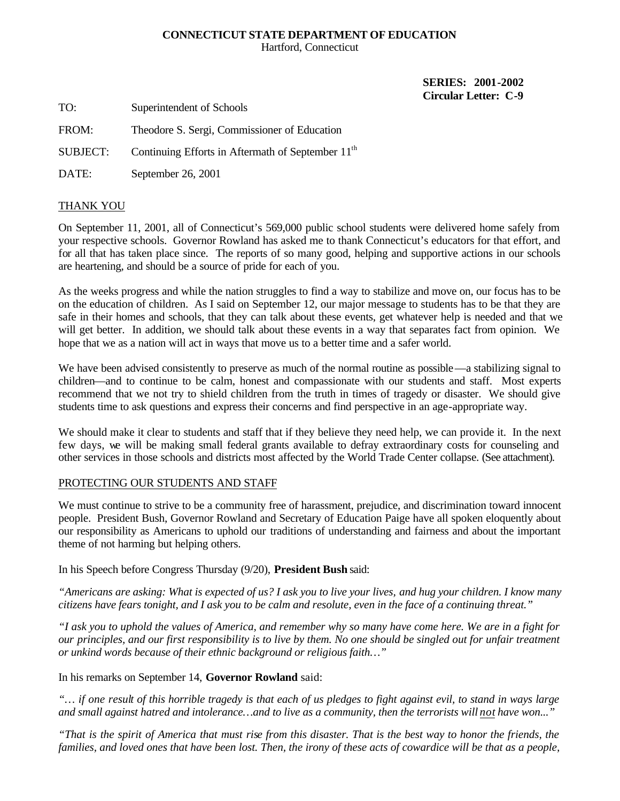# **CONNECTICUT STATE DEPARTMENT OF EDUCATION**

Hartford, Connecticut

**SERIES: 2001-2002 Circular Letter: C-9** 

TO: Superintendent of Schools

FROM: Theodore S. Sergi, Commissioner of Education

SUBJECT: Continuing Efforts in Aftermath of September 11<sup>th</sup>

DATE: September 26, 2001

# THANK YOU

On September 11, 2001, all of Connecticut's 569,000 public school students were delivered home safely from your respective schools. Governor Rowland has asked me to thank Connecticut's educators for that effort, and for all that has taken place since. The reports of so many good, helping and supportive actions in our schools are heartening, and should be a source of pride for each of you.

As the weeks progress and while the nation struggles to find a way to stabilize and move on, our focus has to be on the education of children. As I said on September 12, our major message to students has to be that they are safe in their homes and schools, that they can talk about these events, get whatever help is needed and that we will get better. In addition, we should talk about these events in a way that separates fact from opinion. We hope that we as a nation will act in ways that move us to a better time and a safer world.

We have been advised consistently to preserve as much of the normal routine as possible —a stabilizing signal to children—and to continue to be calm, honest and compassionate with our students and staff. Most experts recommend that we not try to shield children from the truth in times of tragedy or disaster. We should give students time to ask questions and express their concerns and find perspective in an age-appropriate way.

We should make it clear to students and staff that if they believe they need help, we can provide it. In the next few days, we will be making small federal grants available to defray extraordinary costs for counseling and other services in those schools and districts most affected by the World Trade Center collapse. (See attachment).

### PROTECTING OUR STUDENTS AND STAFF

We must continue to strive to be a community free of harassment, prejudice, and discrimination toward innocent people. President Bush, Governor Rowland and Secretary of Education Paige have all spoken eloquently about our responsibility as Americans to uphold our traditions of understanding and fairness and about the important theme of not harming but helping others.

In his Speech before Congress Thursday (9/20), **President Bush** said:

*"Americans are asking: What is expected of us? I ask you to live your lives, and hug your children. I know many citizens have fears tonight, and I ask you to be calm and resolute, even in the face of a continuing threat."* 

*"I ask you to uphold the values of America, and remember why so many have come here. We are in a fight for our principles, and our first responsibility is to live by them. No one should be singled out for unfair treatment or unkind words because of their ethnic background or religious faith…"* 

#### In his remarks on September 14, **Governor Rowland** said:

*"… if one result of this horrible tragedy is that each of us pledges to fight against evil, to stand in ways large and small against hatred and intolerance…and to live as a community, then the terrorists will not have won..."* 

*"That is the spirit of America that must rise from this disaster. That is the best way to honor the friends, the*  families, and loved ones that have been lost. Then, the irony of these acts of cowardice will be that as a people,